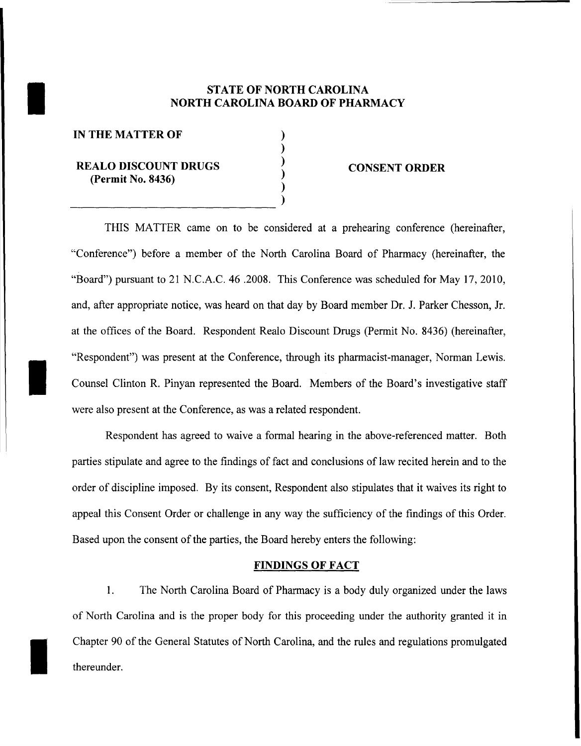# STATE OF NORTH CAROLINA<br>NORTH CAROLINA BOARD OF PHAR NORTH CAROLINA BOARD OF PHARMACY

) ) ) ) )

IN THE MATTER OF

I

I

## REALO DISCOUNT DRUGS (Permit No. 8436) )<br>)<br>)

#### CONSENT ORDER

THIS MATTER came on to be considered at a prehearing conference (hereinafter, "Conference") before a member of the North Carolina Board of Pharmacy (hereinafter, the "Board") pursuant to 21 N.C.A.C. 46 .2008. This Conference was scheduled for May 17,2010, and, after appropriate notice, was heard on that day by Board member Dr. 1. Parker Chesson, Jr. at the offices of the Board. Respondent Realo Discount Drugs (Permit No. 8436) (hereinafter, "Respondent") was present at the Conference, through its pharmacist-manager, Norman Lewis. Counsel Clinton R. Pinyan represented the Board. Members of the Board's investigative staff were also present at the Conference, as was a related respondent.

Respondent has agreed to waive a formal hearing in the above-referenced matter. Both parties stipulate and agree to the findings of fact and conclusions of law recited herein and to the order of discipline imposed. By its consent, Respondent also stipulates that it waives its right to appeal this Consent Order or challenge in any way the sufficiency of the findings of this Order. Based upon the consent of the parties, the Board hereby enters the following:

#### FINDINGS OF FACT

1. The North Carolina Board of Pharmacy is a body duly organized under the laws of North Carolina and is the proper body for this proceeding under the authority granted it in Chapter 90 of the General Statutes of North Carolina, and the rules and regulations promulgated thereunder.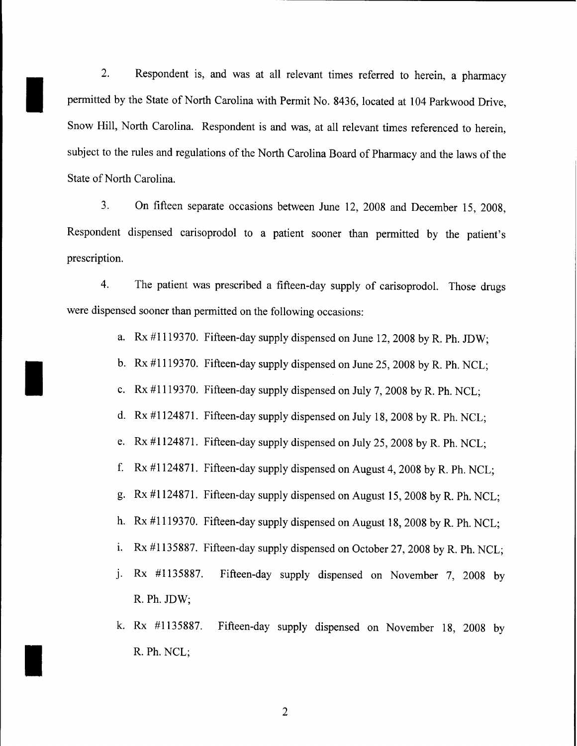2. Respondent is, and was at all relevant times referred to herein, a pharmacy permitted by the State of North Carolina with Permit No. 8436, located at 104 Parkwood Drive, Snow Hill, North Carolina. Respondent is and was, at all relevant times referenced to herein, subject to the rules and regulations of the North Carolina Board of Pharmacy and the laws of the State of North Carolina.

I

I

I

3. On fifteen separate occasions between June 12, 2008 and December 15, 2008, Respondent dispensed carisoprodol to a patient sooner than permitted by the patient's prescription.

4. The patient was prescribed a fifteen-day supply of carisoprodol. Those drugs were dispensed sooner than permitted on the following occasions:

- a.  $Rx \#1119370$ . Fifteen-day supply dispensed on June 12, 2008 by R. Ph. JDW;
- b. Rx #1119370. Fifteen-day supply dispensed on June 25, 2008 by R. Ph. NCL;
- c.  $Rx \#1119370$ . Fifteen-day supply dispensed on July 7, 2008 by R. Ph. NCL;
- d. Rx #1124871. Fifteen-day supply dispensed on July 18,2008 by R. Ph. NCL;
- e. Rx #1124871. Fifteen-day supply dispensed on July 25,2008 by R. Ph. NCL;
- f. Rx #1124871. Fifteen-day supply dispensed on August 4,2008 by R. Ph. NCL;
- g. Rx #1124871. Fifteen-day supply dispensed on August 15,2008 by R. Ph. NCL;
- h. Rx #1119370. Fifteen-day supply dispensed on August 18,2008 by R. Ph. NCL;
- i. Rx  $\#1135887$ . Fifteen-day supply dispensed on October 27, 2008 by R. Ph. NCL;
- J. Rx #1135887. Fifteen-day supply dispensed on November 7, 2008 by R. Ph. JDW;
- k. Rx #1135887. Fifteen-day supply dispensed on November 18, 2008 by R. Ph. NCL;

2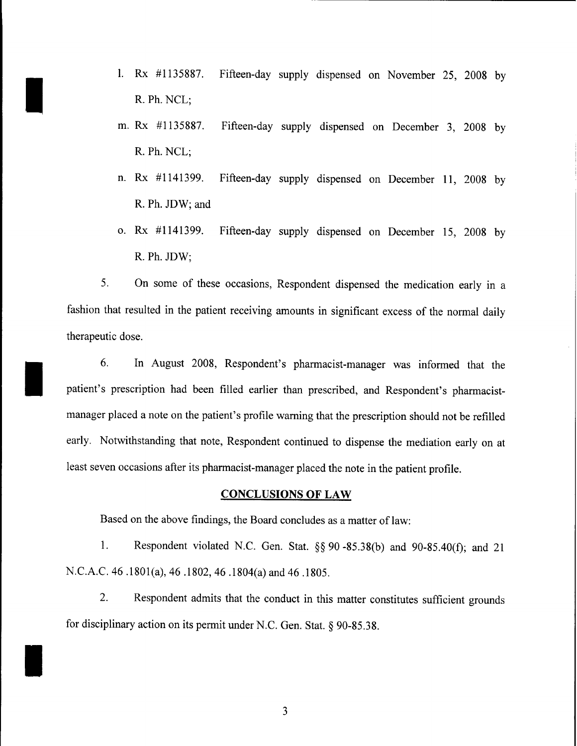1. Rx #1135887. Fifteen-day supply dispensed on November 25, 2008 by R. Ph. NCL;

I

I

I

- m. Rx #1135887. Fifteen-day supply dispensed on December 3, 2008 by R. Ph. NCL;
- n. Rx #1141399. Fifteen-day supply dispensed on December 11, 2008 by R. Ph. JDW; and
- o. Rx #1141399. Fifteen-day supply dispensed on December 15, 2008 by R.Ph.JDW;

5. On some of these occasions, Respondent dispensed the medication early in a fashion that resulted in the patient receiving amounts in significant excess of the normal daily therapeutic dose.

6. In August 2008, Respondent's pharmacist-manager was informed that the patient's prescription had been filled earlier than prescribed, and Respondent's pharmacistmanager placed a note on the patient's profile warning that the prescription should not be refilled early. Notwithstanding that note, Respondent continued to dispense the mediation early on at least seven occasions after its pharmacist-manager placed the note in the patient profile.

#### **CONCLUSIONS OF LAW**

Based on the above findings, the Board concludes as a matter of law:

1. Respondent violated N.C. Gen. Stat. §§ 90 -85.38(b) and 90-85.40(f); and 21 N.C.A.C. 46 .180l(a), 46.1802,46 .1804(a) and 46.1805.

2. Respondent admits that the conduct in this matter constitutes sufficient grounds for disciplinary action on its permit under N.C. Gen. Stat. § 90-85.38.

3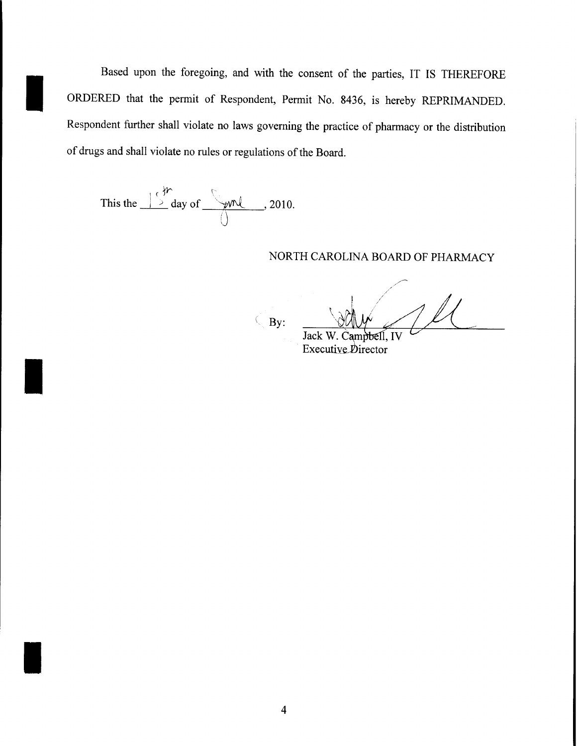Based upon the foregoing, and with the consent of the parties, IT IS THEREFORE ORDERED that the permit of Respondent, Permit No. 8436, is hereby REPRIMANDED. Respondent further shall violate no laws governing the practice of pharmacy or the distribution of drugs and shall violate no rules or regulations of the Board.

This the  $\frac{\int_{0}^{\frac{1}{2}} \int_{0}^{\infty} \frac{1}{2} \, dx \, dx}{\int_{0}^{\infty} \frac{1}{2} \int_{0}^{\infty} \frac{1}{2} \, dx \, dx}$ , 2010.

### NORTH CAROLINA BOARD OF PHARMACY

 $\left(\begin{array}{c} By \end{array}\right)$ 

Jack W. Campbell, IV Executive Director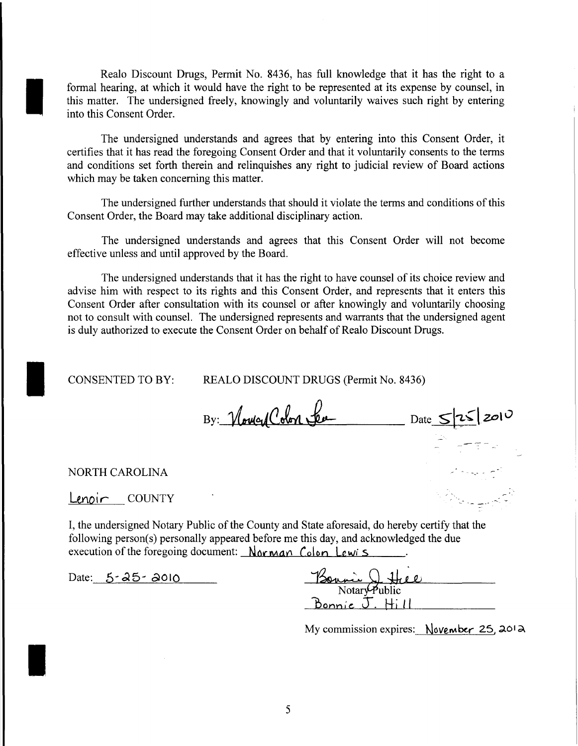Realo Discount Drugs, Permit No. 8436, has full knowledge that it has the right to a formal hearing, at which it would have the right to be represented at its expense by counsel, in this matter. The undersigned freely, knowingly and voluntarily waives such right by entering into this Consent Order.

The undersigned understands and agrees that by entering into this Consent Order, it certifies that it has read the foregoing Consent Order and that it voluntarily consents to the terms and conditions set forth therein and relinquishes any right to judicial review of Board actions which may be taken concerning this matter.

The undersigned further understands that should it violate the terms and conditions of this Consent Order, the Board may take additional disciplinary action.

The undersigned understands and agrees that this Consent Order will not become effective unless and until approved by the Board.

The undersigned understands that it has the right to have counsel of its choice review and advise him with respect to its rights and this Consent Order, and represents that it enters this Consent Order after consultation with its counsel or after knowingly and voluntarily choosing not to consult with counsel. The undersigned represents and warrants that the undersigned agent is duly authorized to execute the Consent Order on behalf of Realo Discount Drugs.

CONSENTED TO BY:

REALO DISCOUNT DRUGS (Permit No. 8436)

 $By:$  Nove of Colon See Date  $S|25|2010$ 

NORTH CAROLINA

I

I

*Lenoir* COUNTY

I, the undersigned Notary Public of the County and State aforesaid, do hereby certify that the following person(s) personally appeared before me this day, and acknowledged the due<br>execution of the foregoing document: Norman Colon Lewis<br>Date: 5-25-2010<br>Notary Public execution of the foregoing document:  $N_{\alpha\beta}$  Colon Lewis

Date:  $5 - 25 - 2010$ 

| Baymin<br>ا ما اب |  |
|-------------------|--|
| Notary Public     |  |
| Bonnic            |  |

My commission expires:  $November 25, 2012$